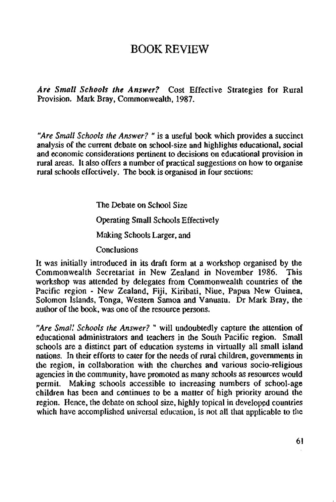## BOOK REVIEW

*Are Small Schools the Answer?* Cost Effective Strategies for Rural Provision. Mark Bray, Commonwealth, 1987.

*"Are Small Schools the Answer? "* is a useful book which provides a succinct analysis of the current debate on school-size and highlights educational, social and economic considerations pertinent to decisions on educational provision in rural areas. It also offers a number of practical suggestions on how to organise rural schools effectively. The book is organised in four sections:

The Debate on School Size

Operating Small Schools Effectively

Making Schools Larger, and

**Conclusions** 

It was initially introduced in its draft form at a workshop organised by the Commonwealth Secretariat in New Zealand in November 1986. This workshop was attended by delegates from Commonwealth countries of the Pacific region - New Zealand, Fiji, Kiribati, Niue, Papua New Guinea, Solomon Islands, Tonga, Western Samoa and Vanuatu. Dr Mark Bray, the author of the book, was one of the resource persons.

*"Are Small Schools the Answer?* " will undoubtedly capture the attention of educational administrators and teachers in the South Pacific region. Small schools are a distinct part of education systems in virtually all small island nations. In their efforts to cater for the needs of rural children, governments in the region, in collaboration with the churches and various socio-religious agencies in the community, have promoted as many schools as resources would permit. Making schools accessible to increasing numbers of school-age children has been and continues to be a matter of high priority around the region. Hence, the debate on school size, highly topical in developed countries which have accomplished universal education, is not all that applicable to the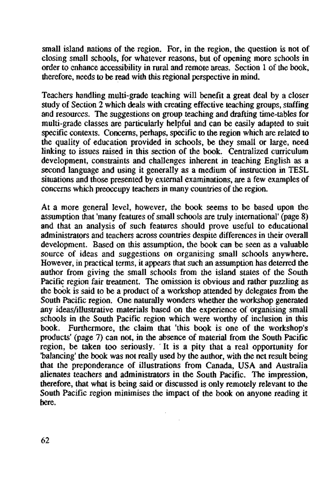small island nations of the region. For, in the region, the question is not of closing small schools, for whatever reasons, but of opening more schools in order to enhance accessibility in rural and remote areas. Section 1 of the book, therefore, needs to be read with this regional perspective in mind.

Teachers handling multi-grade teaching will benefit a great deal by a closer study of Section 2 which deals with creating effective teaching groups, staffing and resources. The suggestions on group teaching and drafting time-tables for multi-grade classes are particularly helpful and can be easily adapted to suit specific contexts. Concerns, perhaps, specific to the region which are related to the quality of education provided in schools, be they small or large, need linking to issues raised in this section of the book. Centralized curriculum development, constraints and challenges inherent in teaching English as a second language and using it generally as a medium of instruction in TESL situations and those presented by external examinations, are a few examples of concerns which preoccupy teachers in many countries of the region.

At a more general level, however, the book seems to be based upon the assumption that 'many features of small schools are truly international' (page 8) and that an analysis of such features should prove useful to educational administrators and teachers across countries despite differences in their overall development. Based on this assumption, the book can be seen as a valuable source of ideas and suggestions on organising small schools anywhere. However, in practical terms, it appears that such an assumption has deterred the author from giving the small schools from the island states of the South Pacific region fair treatment. The omission is obvious and rather puzzling as the book is said to be a product of a workshop attended by delegates from the South Pacific region. One naturally wonders whether the workshop generated any ideas/illustrative materials based on the experience of organising small schools in the South Pacific region which were worthy of inclusion in this book. Furthermore, the claim that 'this book is one of the workshop's products' (page 7) can not, in the absence of material from the South Pacific region, be taken too seriously. It is a pity that a real opportunity for "balancing' the book was not really used by the author, with the net result being that the preponderance of illustrations from Canada, USA and Australia alienates teachers and administrators in the South Pacific. The impression, therefore, that what is being said or discussed is only remotely relevant to the South Pacific region minimises the impact of the book on anyone reading it here.